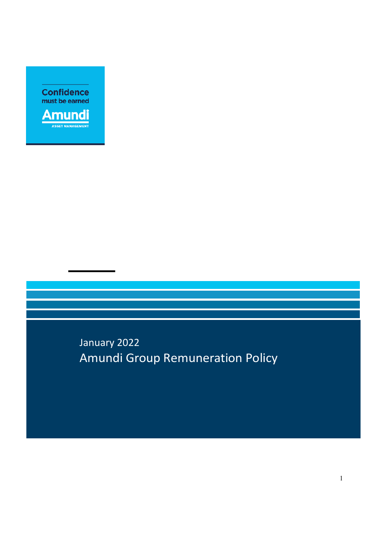**Confidence**<br>must be earned



January 2022 Amundi Group Remuneration Policy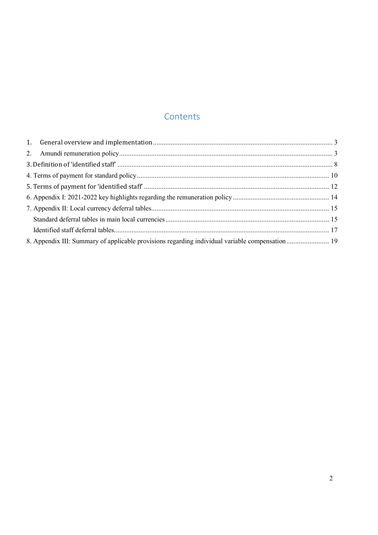# **Contents**

| 8. Appendix III: Summary of applicable provisions regarding individual variable compensation 19 |  |
|-------------------------------------------------------------------------------------------------|--|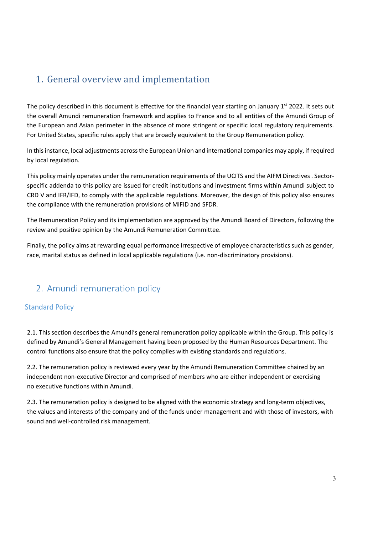# 1. General overview and implementation

The policy described in this document is effective for the financial year starting on January  $1<sup>st</sup>$  2022. It sets out the overall Amundi remuneration framework and applies to France and to all entities of the Amundi Group of the European and Asian perimeter in the absence of more stringent or specific local regulatory requirements. For United States, specific rules apply that are broadly equivalent to the Group Remuneration policy.

In this instance, local adjustments across the European Union and international companies may apply, if required by local regulation.

This policy mainly operates under the remuneration requirements of the UCITS and the AIFM Directives . Sectorspecific addenda to this policy are issued for credit institutions and investment firms within Amundi subject to CRD V and IFR/IFD, to comply with the applicable regulations. Moreover, the design of this policy also ensures the compliance with the remuneration provisions of MiFID and SFDR.

The Remuneration Policy and its implementation are approved by the Amundi Board of Directors, following the review and positive opinion by the Amundi Remuneration Committee.

Finally, the policy aims at rewarding equal performance irrespective of employee characteristics such as gender, race, marital status as defined in local applicable regulations (i.e. non-discriminatory provisions).

# 2. Amundi remuneration policy

### Standard Policy

2.1. This section describes the Amundi's general remuneration policy applicable within the Group. This policy is defined by Amundi's General Management having been proposed by the Human Resources Department. The control functions also ensure that the policy complies with existing standards and regulations.

2.2. The remuneration policy is reviewed every year by the Amundi Remuneration Committee chaired by an independent non-executive Director and comprised of members who are either independent or exercising no executive functions within Amundi.

2.3. The remuneration policy is designed to be aligned with the economic strategy and long-term objectives, the values and interests of the company and of the funds under management and with those of investors, with sound and well-controlled risk management.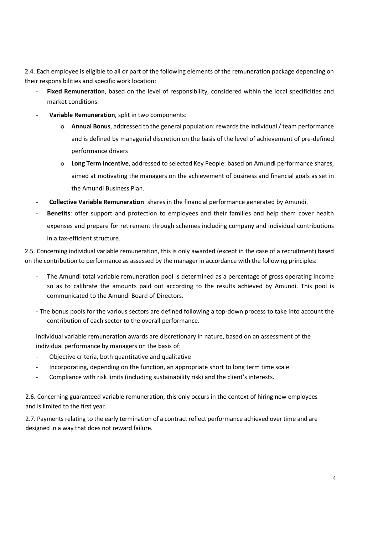2.4. Each employee is eligible to all or part of the following elements of the remuneration package depending on their responsibilities and specific work location:

- Fixed Remuneration, based on the level of responsibility, considered within the local specificities and market conditions.
- **Variable Remuneration**, split in two components:
	- **o Annual Bonus**, addressed to the general population: rewards the individual / team performance and is defined by managerial discretion on the basis of the level of achievement of pre-defined performance drivers
	- **o Long Term Incentive**, addressed to selected Key People: based on Amundi performance shares, aimed at motivating the managers on the achievement of business and financial goals as set in the Amundi Business Plan.
- **Collective Variable Remuneration**: shares in the financial performance generated by Amundi.
- **Benefits**: offer support and protection to employees and their families and help them cover health expenses and prepare for retirement through schemes including company and individual contributions in a tax-efficient structure.

2.5. Concerning individual variable remuneration, this is only awarded (except in the case of a recruitment) based on the contribution to performance as assessed by the manager in accordance with the following principles:

- The Amundi total variable remuneration pool is determined as a percentage of gross operating income so as to calibrate the amounts paid out according to the results achieved by Amundi. This pool is communicated to the Amundi Board of Directors.
- The bonus pools for the various sectors are defined following a top-down process to take into account the contribution of each sector to the overall performance.

Individual variable remuneration awards are discretionary in nature, based on an assessment of the individual performance by managers on the basis of:

- Objective criteria, both quantitative and qualitative
- Incorporating, depending on the function, an appropriate short to long term time scale
- Compliance with risk limits (including sustainability risk) and the client's interests.

2.6. Concerning guaranteed variable remuneration, this only occurs in the context of hiring new employees and is limited to the first year.

2.7. Payments relating to the early termination of a contract reflect performance achieved over time and are designed in a way that does not reward failure.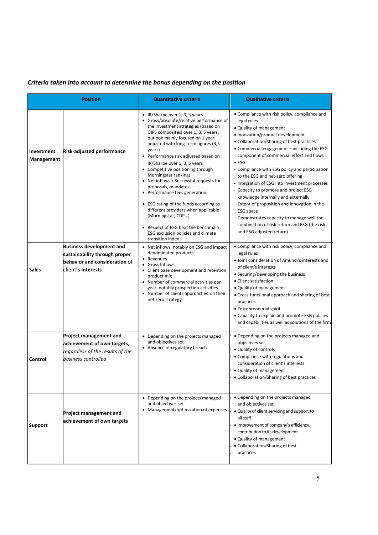## *Criteria taken into account to determine the bonus depending on the position*

| <b>Position</b>                 |                                                                                                                         | <b>Quantitative criteria</b>                                                                                                                                                                                                                                                                                                                                                                                                                                                                                                                                                                                                                                                                      | <b>Qualitative criteria</b>                                                                                                                                                                                                                                                                                                                                                                                                                                                                                                                                                                                                                                                                                 |
|---------------------------------|-------------------------------------------------------------------------------------------------------------------------|---------------------------------------------------------------------------------------------------------------------------------------------------------------------------------------------------------------------------------------------------------------------------------------------------------------------------------------------------------------------------------------------------------------------------------------------------------------------------------------------------------------------------------------------------------------------------------------------------------------------------------------------------------------------------------------------------|-------------------------------------------------------------------------------------------------------------------------------------------------------------------------------------------------------------------------------------------------------------------------------------------------------------------------------------------------------------------------------------------------------------------------------------------------------------------------------------------------------------------------------------------------------------------------------------------------------------------------------------------------------------------------------------------------------------|
| Investment<br><b>Management</b> | Risk-adjusted performance                                                                                               | • IR/Sharpe over 1, 3, 5 years<br>• Gross/absolute/relative performance of<br>the investment strategies (based on<br>GIPS composites) over 1, 3, 5 years,<br>outlook mainly focused on 1 year,<br>adjusted with long-term figures (3,5<br>years)<br>• Performance risk adjusted based on<br>IR/Sharpe over 1, 3, 5 years<br>• Competitive positioning through<br>Morningstar rankings<br>• Net inflows / Successful requests for<br>proposals, mandates<br>• Performance fees generation<br>• ESG rating of the funds according to<br>different providers when applicable<br>(Morningstar, CDP)<br>• Respect of ESG beat the benchmark,<br>ESG exclusion policies and climate<br>transition index | • Compliance with risk policy, compliance and<br>legal rules<br>• Quality of management<br>• Innovation/product development<br>• Collaboration/Sharing of best practices<br>• Commercial engagement – including the ESG<br>component of commercial effort and flows<br>$\bullet$ ESG<br>- Compliance with ESG policy and participation<br>to the ESG and net-zero offering<br>- Integration of ESG into investment processes<br>- Capacity to promote and project ESG<br>knowledge internally and externally<br>- Extent of proposition and innovation in the<br><b>ESG</b> space<br>- Demonstrates capacity to manage well the<br>combination of risk return and ESG (the risk<br>and ESG adjusted return) |
| Sales                           | <b>Business development and</b><br>sustainability through proper<br>behavior and consideration of<br>client's interests | • Net inflows, notably on ESG and impact<br>denominated products<br>• Revenues<br>• Gross Inflows<br>• Client base development and retention;<br>product mix<br>• Number of commercial activities per<br>year, notably prospection activities<br>• Number of clients approached on their<br>net zero strategy                                                                                                                                                                                                                                                                                                                                                                                     | • Compliance with risk policy, compliance and<br>legal rules<br>· Joint consideration of Amundi's interests and<br>of client's interests<br>• Securing/developing the business<br>• Client satisfaction<br>• Quality of management<br>• Cross-functional approach and sharing of best<br>practices<br>• Entrepreneurial spirit<br>• Capacity to explain and promote ESG policies<br>and capabilities as well as solutions of the firm                                                                                                                                                                                                                                                                       |
| Control                         | <b>Project management and</b><br>achievement of own targets,<br>regardless of the results of the<br>business controlled | • Depending on the projects managed<br>and objectives set<br>• Absence of regulatory breach                                                                                                                                                                                                                                                                                                                                                                                                                                                                                                                                                                                                       | • Depending on the projects managed and<br>objectives set<br>• Quality of controls<br>• Compliance with regulations and<br>consideration of client's interests<br>• Quality of management<br>• Collaboration/Sharing of best practices                                                                                                                                                                                                                                                                                                                                                                                                                                                                      |
| Support                         | <b>Project management and</b><br>achievement of own targets                                                             | • Depending on the projects managed<br>and objectives set<br>• Management/optimization of expenses                                                                                                                                                                                                                                                                                                                                                                                                                                                                                                                                                                                                | • Depending on the projects managed<br>and objectives set<br>. Quality of client servicing and support to<br>all staff<br>• Improvement of company's efficiency,<br>contribution to its development<br>• Quality of management<br>• Collaboration/Sharing of best<br>practices                                                                                                                                                                                                                                                                                                                                                                                                                              |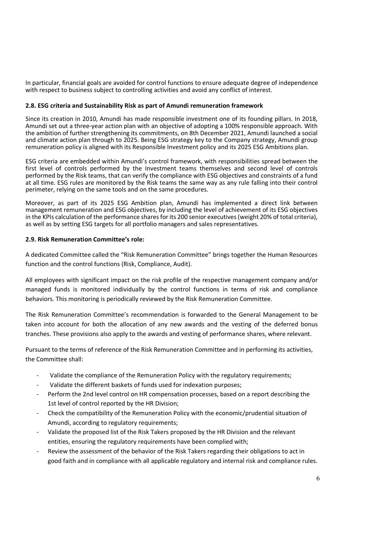In particular, financial goals are avoided for control functions to ensure adequate degree of independence with respect to business subject to controlling activities and avoid any conflict of interest.

#### **2.8. ESG criteria and Sustainability Risk as part of Amundi remuneration framework**

Since its creation in 2010, Amundi has made responsible investment one of its founding pillars. In 2018, Amundi set out a three-year action plan with an objective of adopting a 100% responsible approach. With the ambition of further strengthening its commitments, on 8th December 2021, Amundi launched a social and climate action plan through to 2025. Being ESG strategy key to the Company strategy, Amundi group remuneration policy is aligned with its Responsible Investment policy and its 2025 ESG Ambitions plan.

ESG criteria are embedded within Amundi's control framework, with responsibilities spread between the first level of controls performed by the Investment teams themselves and second level of controls performed by the Risk teams, that can verify the compliance with ESG objectives and constraints of a fund at all time. ESG rules are monitored by the Risk teams the same way as any rule falling into their control perimeter, relying on the same tools and on the same procedures.

Moreover, as part of its 2025 ESG Ambition plan, Amundi has implemented a direct link between management remuneration and ESG objectives, by including the level of achievement of its ESG objectives in the KPIs calculation of the performance shares for its 200 senior executives (weight 20% of total criteria), as well as by setting ESG targets for all portfolio managers and sales representatives.

#### **2.9. Risk Remuneration Committee's role:**

A dedicated Committee called the "Risk Remuneration Committee" brings together the Human Resources function and the control functions (Risk, Compliance, Audit).

All employees with significant impact on the risk profile of the respective management company and/or managed funds is monitored individually by the control functions in terms of risk and compliance behaviors. This monitoring is periodically reviewed by the Risk Remuneration Committee.

The Risk Remuneration Committee's recommendation is forwarded to the General Management to be taken into account for both the allocation of any new awards and the vesting of the deferred bonus tranches. These provisions also apply to the awards and vesting of performance shares, where relevant.

Pursuant to the terms of reference of the Risk Remuneration Committee and in performing its activities, the Committee shall:

- Validate the compliance of the Remuneration Policy with the regulatory requirements;
- Validate the different baskets of funds used for indexation purposes;
- Perform the 2nd level control on HR compensation processes, based on a report describing the 1st level of control reported by the HR Division;
- Check the compatibility of the Remuneration Policy with the economic/prudential situation of Amundi, according to regulatory requirements;
- Validate the proposed list of the Risk Takers proposed by the HR Division and the relevant entities, ensuring the regulatory requirements have been complied with;
- Review the assessment of the behavior of the Risk Takers regarding their obligations to act in good faith and in compliance with all applicable regulatory and internal risk and compliance rules.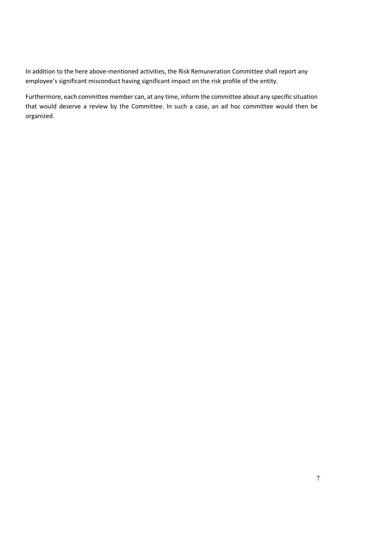In addition to the here above-mentioned activities, the Risk Remuneration Committee shall report any employee's significant misconduct having significant impact on the risk profile of the entity.

Furthermore, each committee member can, at any time, inform the committee about any specific situation that would deserve a review by the Committee. In such a case, an ad hoc committee would then be organized.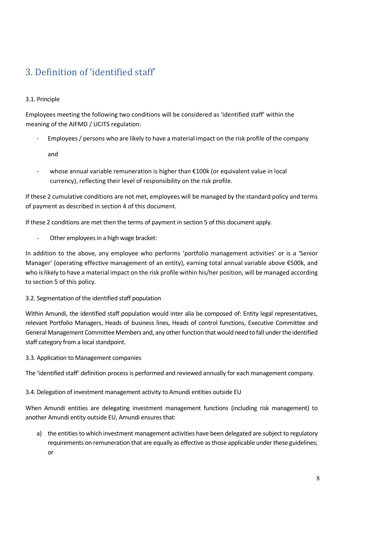# 3. Definition of 'identified staff'

### 3.1. Principle

Employees meeting the following two conditions will be considered as 'identified staff' within the meaning of the AIFMD / UCITS regulation:

- Employees / persons who are likely to have a material impact on the risk profile of the company

and

whose annual variable remuneration is higher than €100k (or equivalent value in local currency), reflecting their level of responsibility on the risk profile.

If these 2 cumulative conditions are not met, employees will be managed by the standard policy and terms of payment as described in section 4 of this document.

If these 2 conditions are met then the terms of payment in section 5 of this document apply.

Other employees in a high wage bracket:

In addition to the above, any employee who performs 'portfolio management activities' or is a 'Senior Manager' (operating effective management of an entity), earning total annual variable above €500k, and who is likely to have a material impact on the risk profile within his/her position, will be managed according to section 5 of this policy.

#### 3.2. Segmentation of the identified staff population

Within Amundi, the identified staff population would inter alia be composed of: Entity legal representatives, relevant Portfolio Managers, Heads of business lines, Heads of control functions, Executive Committee and General Management Committee Members and, any other function that would need to fall under the identified staff category from a local standpoint.

3.3. Application to Management companies

The 'identified staff' definition process is performed and reviewed annually for each management company.

3.4. Delegation of investment management activity to Amundi entities outside EU

When Amundi entities are delegating investment management functions (including risk management) to another Amundi entity outside EU, Amundi ensures that:

a) the entities to which investment management activities have been delegated are subject to regulatory requirements on remuneration that are equally as effective as those applicable under these guidelines; or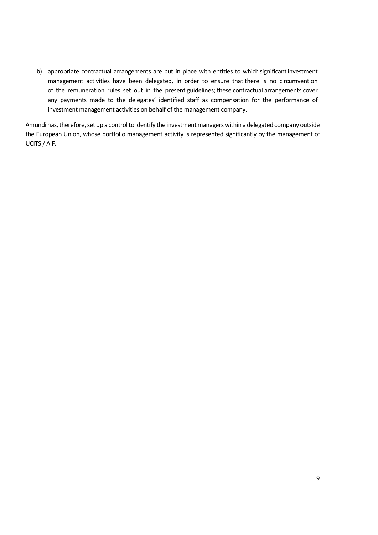b) appropriate contractual arrangements are put in place with entities to which significant investment management activities have been delegated, in order to ensure that there is no circumvention of the remuneration rules set out in the present guidelines; these contractual arrangements cover any payments made to the delegates' identified staff as compensation for the performance of investment management activities on behalf of the management company.

Amundi has, therefore, set up a control to identify the investment managers within a delegated company outside the European Union, whose portfolio management activity is represented significantly by the management of UCITS / AIF.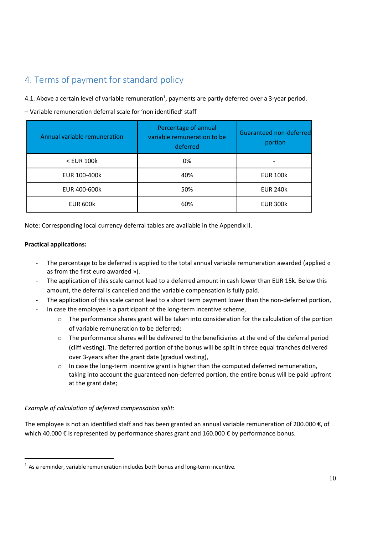# 4. Terms of payment for standard policy

4.1. Above a certain level of variable remuneration<sup>1</sup>, payments are partly deferred over a 3-year period.

- Variable remuneration deferral scale for 'non identified' staff

| Annual variable remuneration | Percentage of annual<br>variable remuneration to be<br>deferred | Guaranteed non-deferred<br>portion |
|------------------------------|-----------------------------------------------------------------|------------------------------------|
| $<$ EUR 100 $k$              | 0%                                                              |                                    |
| EUR 100-400k                 | 40%                                                             | <b>EUR 100k</b>                    |
| EUR 400-600k                 | 50%                                                             | <b>EUR 240k</b>                    |
| <b>EUR 600k</b>              | 60%                                                             | <b>EUR 300k</b>                    |

Note: Corresponding local currency deferral tables are available in the Appendix II.

#### **Practical applications:**

- The percentage to be deferred is applied to the total annual variable remuneration awarded (applied « as from the first euro awarded »).
- The application of this scale cannot lead to a deferred amount in cash lower than EUR 15k. Below this amount, the deferral is cancelled and the variable compensation is fully paid.
- The application of this scale cannot lead to a short term payment lower than the non-deferred portion,
- In case the employee is a participant of the long-term incentive scheme,
	- $\circ$  The performance shares grant will be taken into consideration for the calculation of the portion of variable remuneration to be deferred;
	- $\circ$  The performance shares will be delivered to the beneficiaries at the end of the deferral period (cliff vesting). The deferred portion of the bonus will be split in three equal tranches delivered over 3-years after the grant date (gradual vesting),
	- o In case the long-term incentive grant is higher than the computed deferred remuneration, taking into account the guaranteed non-deferred portion, the entire bonus will be paid upfront at the grant date;

#### *Example of calculation of deferred compensation split:*

The employee is not an identified staff and has been granted an annual variable remuneration of 200.000 €, of which 40.000 € is represented by performance shares grant and 160.000 € by performance bonus.

 $<sup>1</sup>$  As a reminder, variable remuneration includes both bonus and long-term incentive.</sup>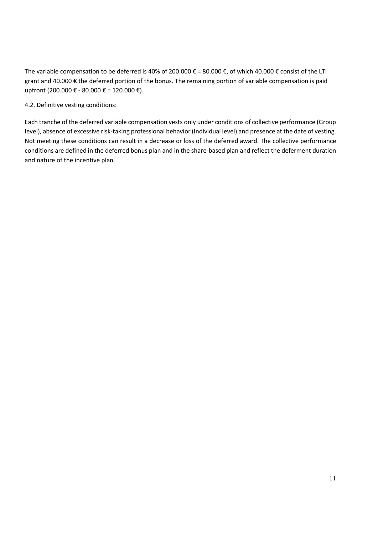The variable compensation to be deferred is 40% of 200.000  $\epsilon$  = 80.000  $\epsilon$ , of which 40.000  $\epsilon$  consist of the LTI grant and 40.000 € the deferred portion of the bonus. The remaining portion of variable compensation is paid upfront (200.000 € - 80.000 € = 120.000 €).

4.2. Definitive vesting conditions:

Each tranche of the deferred variable compensation vests only under conditions of collective performance (Group level), absence of excessive risk-taking professional behavior (Individual level) and presence at the date of vesting. Not meeting these conditions can result in a decrease or loss of the deferred award. The collective performance conditions are defined in the deferred bonus plan and in the share-based plan and reflect the deferment duration and nature of the incentive plan.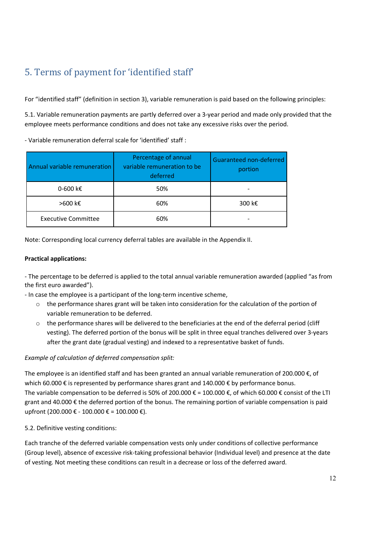# 5. Terms of payment for 'identified staff'

For "identified staff" (definition in section 3), variable remuneration is paid based on the following principles:

5.1. Variable remuneration payments are partly deferred over a 3-year period and made only provided that the employee meets performance conditions and does not take any excessive risks over the period.

- Variable remuneration deferral scale for 'identified' staff :

| Annual variable remuneration | Percentage of annual<br>variable remuneration to be<br>deferred | Guaranteed non-deferred<br>portion |
|------------------------------|-----------------------------------------------------------------|------------------------------------|
| 0-600 k€                     | 50%                                                             |                                    |
| >600 k€                      | 60%                                                             | 300 k€                             |
| <b>Executive Committee</b>   | 60%                                                             |                                    |

Note: Corresponding local currency deferral tables are available in the Appendix II.

#### **Practical applications:**

- The percentage to be deferred is applied to the total annual variable remuneration awarded (applied "as from the first euro awarded").

- In case the employee is a participant of the long-term incentive scheme,

- o the performance shares grant will be taken into consideration for the calculation of the portion of variable remuneration to be deferred.
- $\circ$  the performance shares will be delivered to the beneficiaries at the end of the deferral period (cliff vesting). The deferred portion of the bonus will be split in three equal tranches delivered over 3-years after the grant date (gradual vesting) and indexed to a representative basket of funds.

#### *Example of calculation of deferred compensation split:*

The employee is an identified staff and has been granted an annual variable remuneration of 200.000 €, of which 60.000 € is represented by performance shares grant and 140.000 € by performance bonus. The variable compensation to be deferred is 50% of 200.000 € = 100.000 €, of which 60.000 € consist of the LTI grant and 40.000 € the deferred portion of the bonus. The remaining portion of variable compensation is paid upfront (200.000 € - 100.000 € = 100.000 €).

5.2. Definitive vesting conditions:

Each tranche of the deferred variable compensation vests only under conditions of collective performance (Group level), absence of excessive risk-taking professional behavior (Individual level) and presence at the date of vesting. Not meeting these conditions can result in a decrease or loss of the deferred award.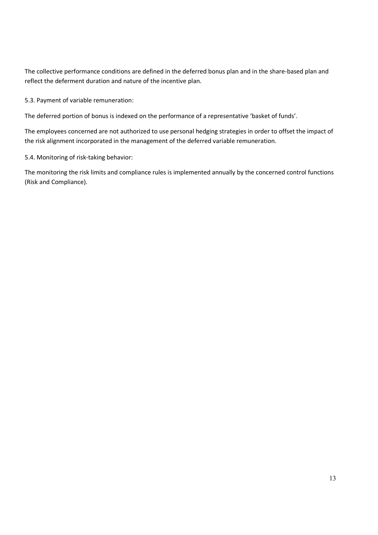The collective performance conditions are defined in the deferred bonus plan and in the share-based plan and reflect the deferment duration and nature of the incentive plan.

5.3. Payment of variable remuneration:

The deferred portion of bonus is indexed on the performance of a representative 'basket of funds'.

The employees concerned are not authorized to use personal hedging strategies in order to offset the impact of the risk alignment incorporated in the management of the deferred variable remuneration.

5.4. Monitoring of risk-taking behavior:

The monitoring the risk limits and compliance rules is implemented annually by the concerned control functions (Risk and Compliance).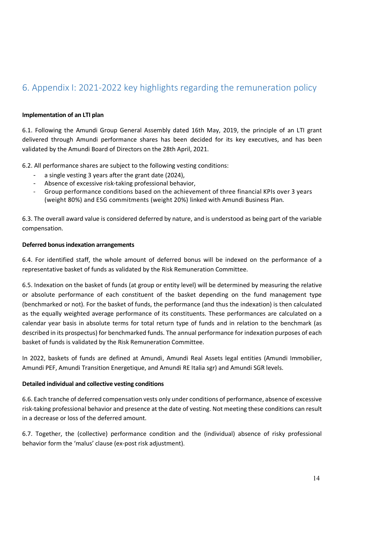## 6. Appendix I: 2021-2022 key highlights regarding the remuneration policy

#### **Implementation of an LTI plan**

6.1. Following the Amundi Group General Assembly dated 16th May, 2019, the principle of an LTI grant delivered through Amundi performance shares has been decided for its key executives, and has been validated by the Amundi Board of Directors on the 28th April, 2021.

6.2. All performance shares are subject to the following vesting conditions:

- a single vesting 3 years after the grant date (2024),
- Absence of excessive risk-taking professional behavior,
- Group performance conditions based on the achievement of three financial KPIs over 3 years (weight 80%) and ESG commitments (weight 20%) linked with Amundi Business Plan.

6.3. The overall award value is considered deferred by nature, and is understood as being part of the variable compensation.

#### **Deferred bonus indexation arrangements**

6.4. For identified staff, the whole amount of deferred bonus will be indexed on the performance of a representative basket of funds as validated by the Risk Remuneration Committee.

6.5. Indexation on the basket of funds (at group or entity level) will be determined by measuring the relative or absolute performance of each constituent of the basket depending on the fund management type (benchmarked or not). For the basket of funds, the performance (and thus the indexation) is then calculated as the equally weighted average performance of its constituents. These performances are calculated on a calendar year basis in absolute terms for total return type of funds and in relation to the benchmark (as described in its prospectus) for benchmarked funds. The annual performance for indexation purposes of each basket of funds is validated by the Risk Remuneration Committee.

In 2022, baskets of funds are defined at Amundi, Amundi Real Assets legal entities (Amundi Immobilier, Amundi PEF, Amundi Transition Energetique, and Amundi RE Italia sgr) and Amundi SGR levels.

#### **Detailed individual and collective vesting conditions**

6.6. Each tranche of deferred compensation vests only under conditions of performance, absence of excessive risk-taking professional behavior and presence at the date of vesting. Not meeting these conditions can result in a decrease or loss of the deferred amount.

6.7. Together, the (collective) performance condition and the (individual) absence of risky professional behavior form the 'malus' clause (ex-post risk adjustment).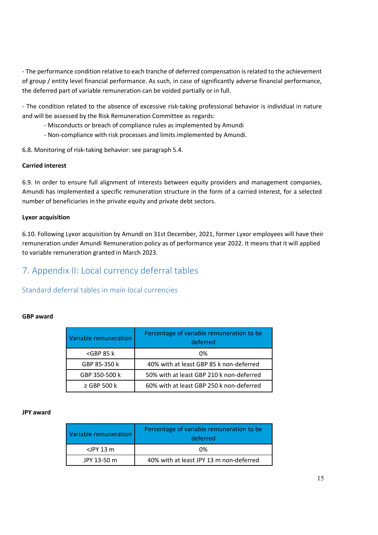- The performance condition relative to each tranche of deferred compensation is related to the achievement of group / entity level financial performance. As such, in case of significantly adverse financial performance, the deferred part of variable remuneration can be voided partially or in full.

- The condition related to the absence of excessive risk-taking professional behavior is individual in nature and will be assessed by the Risk Remuneration Committee as regards:

- Misconducts or breach of compliance rules as implemented by Amundi
- Non-compliance with risk processes and limits implemented by Amundi.

6.8. Monitoring of risk-taking behavior: see paragraph 5.4.

#### **Carried interest**

6.9. In order to ensure full alignment of interests between equity providers and management companies, Amundi has implemented a specific remuneration structure in the form of a carried interest, for a selected number of beneficiaries in the private equity and private debt sectors.

#### **Lyxor acquisition**

6.10. Following Lyxor acquisition by Amundi on 31st December, 2021, former Lyxor employees will have their remuneration under Amundi Remuneration policy as of performance year 2022. It means that it will applied to variable remuneration granted in March 2023.

## 7. Appendix II: Local currency deferral tables

### Standard deferral tables in main local currencies

#### **GBP award**

| Variable remuneration | Percentage of variable remuneration to be<br>deferred |
|-----------------------|-------------------------------------------------------|
| $<$ GBP 85 $k$        | 0%                                                    |
| GBP 85-350 k          | 40% with at least GBP 85 k non-deferred               |
| GBP 350-500 k         | 50% with at least GBP 210 k non-deferred              |
| $\ge$ GBP 500 k       | 60% with at least GBP 250 k non-deferred              |

#### **JPY award**

| Variable remuneration | Percentage of variable remuneration to be<br>deferred |
|-----------------------|-------------------------------------------------------|
| $\langle$ JPY 13 m    | 0%                                                    |
| JPY 13-50 m           | 40% with at least JPY 13 m non-deferred               |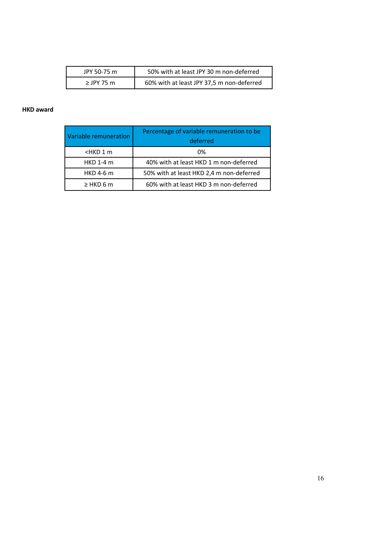| JPY 50-75 m  | 50% with at least JPY 30 m non-deferred   |
|--------------|-------------------------------------------|
| $>$ IPY 75 m | 60% with at least JPY 37,5 m non-deferred |

#### **HKD award**

| Variable remuneration | Percentage of variable remuneration to be<br>deferred |
|-----------------------|-------------------------------------------------------|
| $-HKD1$ m             | 0%                                                    |
| <b>HKD 1-4 m</b>      | 40% with at least HKD 1 m non-deferred                |
| <b>HKD 4-6 m</b>      | 50% with at least HKD 2,4 m non-deferred              |
| $\geq$ HKD 6 m        | 60% with at least HKD 3 m non-deferred                |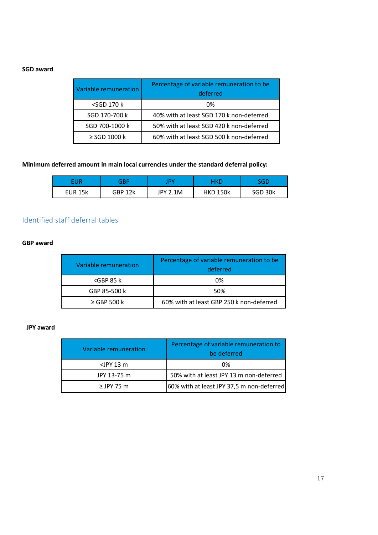### **SGD award**

| Variable remuneration                     | Percentage of variable remuneration to be<br>deferred |
|-------------------------------------------|-------------------------------------------------------|
| <sgd 170="" k<="" td=""><td>0%</td></sgd> | 0%                                                    |
| SGD 170-700 k                             | 40% with at least SGD 170 k non-deferred              |
| SGD 700-1000 k                            | 50% with at least SGD 420 k non-deferred              |
| $\geq$ SGD 1000 k                         | 60% with at least SGD 500 k non-deferred              |

### **Minimum deferred amount in main local currencies under the standard deferral policy:**

| FUR     | ARF     |                 | 4 K.D           | SGD     |
|---------|---------|-----------------|-----------------|---------|
| EUR 15k | GBP 12k | <b>JPY 2.1M</b> | <b>HKD 150k</b> | SGD 30k |

## Identified staff deferral tables

#### **GBP award**

| Variable remuneration | Percentage of variable remuneration to be<br>deferred |
|-----------------------|-------------------------------------------------------|
| $<$ GBP 85 $k$        | 0%                                                    |
| GBP 85-500 k          | 50%                                                   |
| $\ge$ GBP 500 k       | 60% with at least GBP 250 k non-deferred              |

#### **JPY award**

| Variable remuneration | Percentage of variable remuneration to<br>be deferred |
|-----------------------|-------------------------------------------------------|
| $\langle$ JPY 13 m    | 0%                                                    |
| JPY 13-75 m           | 50% with at least JPY 13 m non-deferred               |
| $\ge$ JPY 75 m        | 60% with at least JPY 37,5 m non-deferred             |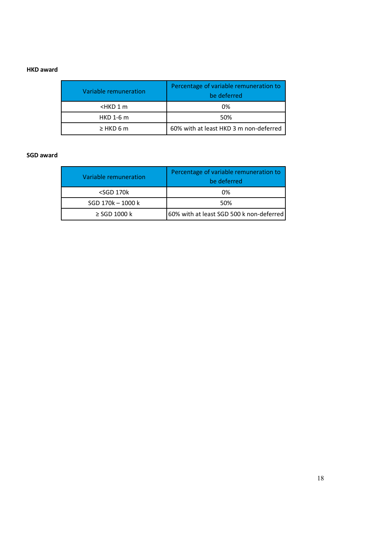#### **HKD award**

| Variable remuneration                   | Percentage of variable remuneration to<br>be deferred |  |  |
|-----------------------------------------|-------------------------------------------------------|--|--|
| <hkd 1="" m<="" td=""><td>0%</td></hkd> | 0%                                                    |  |  |
| <b>HKD 1-6 m</b>                        | 50%                                                   |  |  |
| $\geq$ HKD 6 m                          | 60% with at least HKD 3 m non-deferred                |  |  |

#### **SGD award**

| Variable remuneration | Percentage of variable remuneration to<br>be deferred |  |  |
|-----------------------|-------------------------------------------------------|--|--|
| $<$ SGD 170 $k$       | 0%                                                    |  |  |
| SGD 170k - 1000 k     | 50%                                                   |  |  |
| $\geq$ SGD 1000 k     | 60% with at least SGD 500 k non-deferred              |  |  |